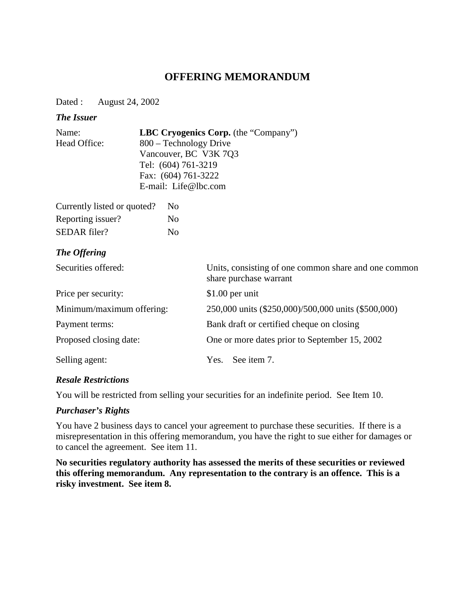# **OFFERING MEMORANDUM**

Dated : August 24, 2002

#### *The Issuer*

| Name:                                | <b>LBC Cryogenics Corp.</b> (the "Company") |
|--------------------------------------|---------------------------------------------|
| Head Office:                         | 800 – Technology Drive                      |
|                                      | Vancouver, BC V3K 7Q3                       |
|                                      | Tel: (604) 761-3219                         |
|                                      | Fax: $(604)$ 761-3222                       |
|                                      | E-mail: Life@lbc.com                        |
| $\alpha$ $1$ $1$ $1$ $1$ $1$ $1$ $1$ |                                             |

| Currently listed or quoted? | N <sub>0</sub> |
|-----------------------------|----------------|
| Reporting issuer?           | Nο             |
| SEDAR filer?                | No             |

## *The Offering*

| Securities offered:       | Units, consisting of one common share and one common<br>share purchase warrant |  |
|---------------------------|--------------------------------------------------------------------------------|--|
| Price per security:       | $$1.00$ per unit                                                               |  |
| Minimum/maximum offering: | 250,000 units (\$250,000)/500,000 units (\$500,000)                            |  |
| Payment terms:            | Bank draft or certified cheque on closing                                      |  |
| Proposed closing date:    | One or more dates prior to September 15, 2002                                  |  |
| Selling agent:            | See item 7.<br>Yes.                                                            |  |

#### *Resale Restrictions*

You will be restricted from selling your securities for an indefinite period. See Item 10.

#### *Purchaser's Rights*

You have 2 business days to cancel your agreement to purchase these securities. If there is a misrepresentation in this offering memorandum, you have the right to sue either for damages or to cancel the agreement. See item 11.

**No securities regulatory authority has assessed the merits of these securities or reviewed this offering memorandum. Any representation to the contrary is an offence. This is a risky investment. See item 8.**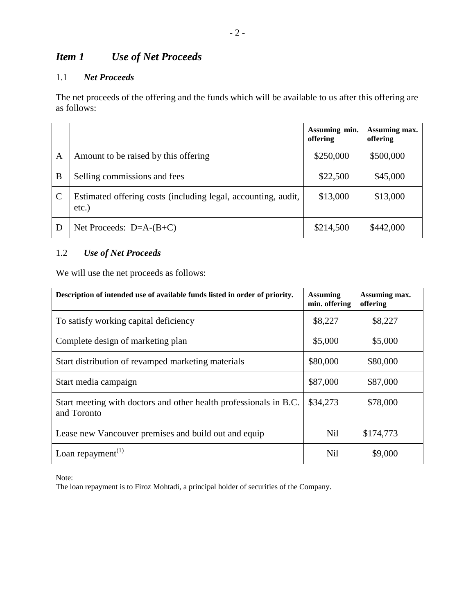# *Item 1 Use of Net Proceeds*

## 1.1 *Net Proceeds*

The net proceeds of the offering and the funds which will be available to us after this offering are as follows:

|               |                                                                           | Assuming min.<br>offering | Assuming max.<br>offering |
|---------------|---------------------------------------------------------------------------|---------------------------|---------------------------|
| Α             | Amount to be raised by this offering                                      | \$250,000                 | \$500,000                 |
| B             | Selling commissions and fees                                              | \$22,500                  | \$45,000                  |
| $\mathcal{C}$ | Estimated offering costs (including legal, accounting, audit,<br>$etc.$ ) | \$13,000                  | \$13,000                  |
| D             | Net Proceeds: $D=A-(B+C)$                                                 | \$214,500                 | \$442,000                 |

# 1.2 *Use of Net Proceeds*

We will use the net proceeds as follows:

| Description of intended use of available funds listed in order of priority.      | <b>Assuming</b><br>min. offering | Assuming max.<br>offering |
|----------------------------------------------------------------------------------|----------------------------------|---------------------------|
| To satisfy working capital deficiency                                            | \$8,227                          | \$8,227                   |
| Complete design of marketing plan                                                | \$5,000                          | \$5,000                   |
| Start distribution of revamped marketing materials                               | \$80,000                         | \$80,000                  |
| Start media campaign                                                             | \$87,000                         | \$87,000                  |
| Start meeting with doctors and other health professionals in B.C.<br>and Toronto | \$34,273                         | \$78,000                  |
| Lease new Vancouver premises and build out and equip                             | <b>Nil</b>                       | \$174,773                 |
| Loan repayment <sup><math>(1)</math></sup>                                       | Nil                              | \$9,000                   |

Note:

The loan repayment is to Firoz Mohtadi, a principal holder of securities of the Company.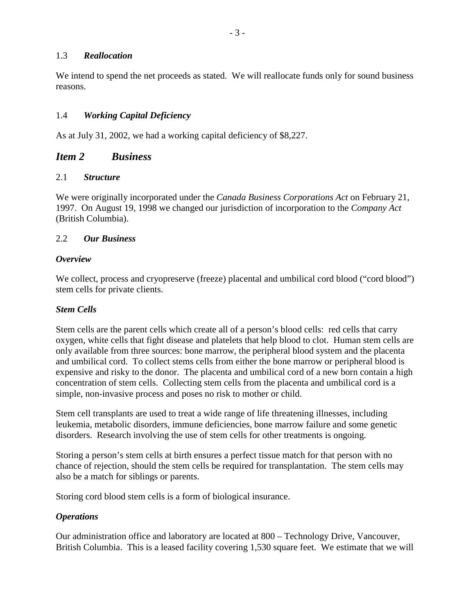#### 1.3 *Reallocation*

We intend to spend the net proceeds as stated. We will reallocate funds only for sound business reasons.

#### 1.4 *Working Capital Deficiency*

As at July 31, 2002, we had a working capital deficiency of \$8,227.

## *Item 2 Business*

#### 2.1 *Structure*

We were originally incorporated under the *Canada Business Corporations Act* on February 21, 1997. On August 19, 1998 we changed our jurisdiction of incorporation to the *Company Act* (British Columbia).

#### 2.2 *Our Business*

#### *Overview*

We collect, process and cryopreserve (freeze) placental and umbilical cord blood ("cord blood") stem cells for private clients.

#### *Stem Cells*

Stem cells are the parent cells which create all of a person's blood cells: red cells that carry oxygen, white cells that fight disease and platelets that help blood to clot. Human stem cells are only available from three sources: bone marrow, the peripheral blood system and the placenta and umbilical cord. To collect stems cells from either the bone marrow or peripheral blood is expensive and risky to the donor. The placenta and umbilical cord of a new born contain a high concentration of stem cells. Collecting stem cells from the placenta and umbilical cord is a simple, non-invasive process and poses no risk to mother or child.

Stem cell transplants are used to treat a wide range of life threatening illnesses, including leukemia, metabolic disorders, immune deficiencies, bone marrow failure and some genetic disorders. Research involving the use of stem cells for other treatments is ongoing.

Storing a person's stem cells at birth ensures a perfect tissue match for that person with no chance of rejection, should the stem cells be required for transplantation. The stem cells may also be a match for siblings or parents.

Storing cord blood stem cells is a form of biological insurance.

#### *Operations*

Our administration office and laboratory are located at 800 – Technology Drive, Vancouver, British Columbia. This is a leased facility covering 1,530 square feet. We estimate that we will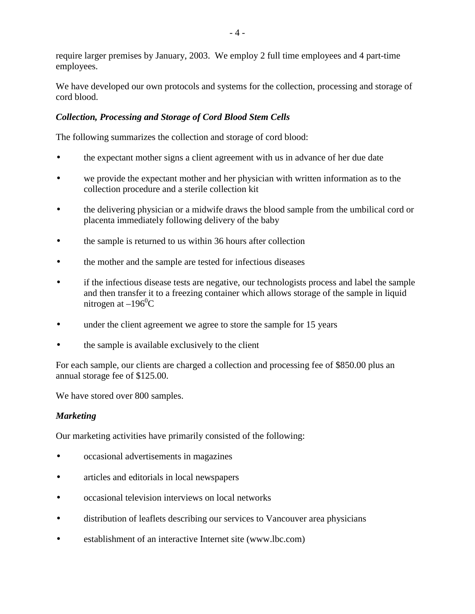require larger premises by January, 2003. We employ 2 full time employees and 4 part-time employees.

We have developed our own protocols and systems for the collection, processing and storage of cord blood.

## *Collection, Processing and Storage of Cord Blood Stem Cells*

The following summarizes the collection and storage of cord blood:

- the expectant mother signs a client agreement with us in advance of her due date
- we provide the expectant mother and her physician with written information as to the collection procedure and a sterile collection kit
- the delivering physician or a midwife draws the blood sample from the umbilical cord or placenta immediately following delivery of the baby
- the sample is returned to us within 36 hours after collection
- the mother and the sample are tested for infectious diseases
- if the infectious disease tests are negative, our technologists process and label the sample and then transfer it to a freezing container which allows storage of the sample in liquid nitrogen at  $-196^{\circ}$ C
- under the client agreement we agree to store the sample for 15 years
- the sample is available exclusively to the client

For each sample, our clients are charged a collection and processing fee of \$850.00 plus an annual storage fee of \$125.00.

We have stored over 800 samples.

#### *Marketing*

Our marketing activities have primarily consisted of the following:

- occasional advertisements in magazines
- articles and editorials in local newspapers
- occasional television interviews on local networks
- distribution of leaflets describing our services to Vancouver area physicians
- establishment of an interactive Internet site (www.lbc.com)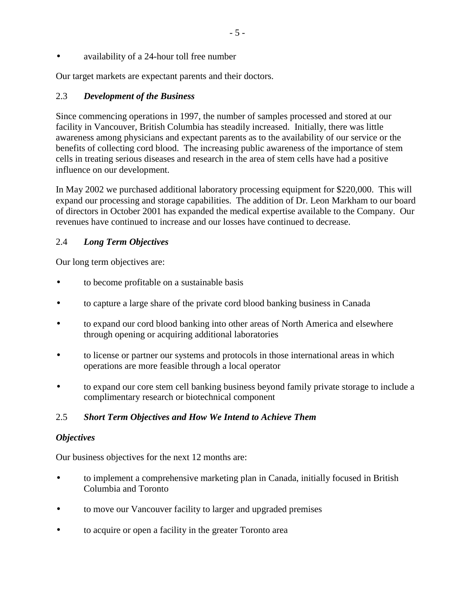• availability of a 24-hour toll free number

Our target markets are expectant parents and their doctors.

## 2.3 *Development of the Business*

Since commencing operations in 1997, the number of samples processed and stored at our facility in Vancouver, British Columbia has steadily increased. Initially, there was little awareness among physicians and expectant parents as to the availability of our service or the benefits of collecting cord blood. The increasing public awareness of the importance of stem cells in treating serious diseases and research in the area of stem cells have had a positive influence on our development.

In May 2002 we purchased additional laboratory processing equipment for \$220,000. This will expand our processing and storage capabilities. The addition of Dr. Leon Markham to our board of directors in October 2001 has expanded the medical expertise available to the Company. Our revenues have continued to increase and our losses have continued to decrease.

## 2.4 *Long Term Objectives*

Our long term objectives are:

- to become profitable on a sustainable basis
- to capture a large share of the private cord blood banking business in Canada
- to expand our cord blood banking into other areas of North America and elsewhere through opening or acquiring additional laboratories
- to license or partner our systems and protocols in those international areas in which operations are more feasible through a local operator
- to expand our core stem cell banking business beyond family private storage to include a complimentary research or biotechnical component

## 2.5 *Short Term Objectives and How We Intend to Achieve Them*

#### *Objectives*

Our business objectives for the next 12 months are:

- to implement a comprehensive marketing plan in Canada, initially focused in British Columbia and Toronto
- to move our Vancouver facility to larger and upgraded premises
- to acquire or open a facility in the greater Toronto area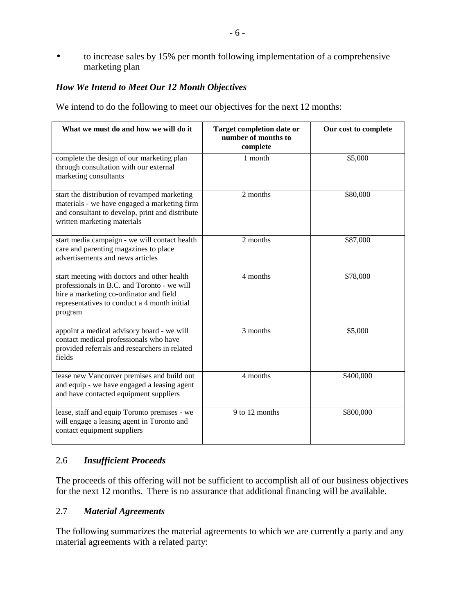• to increase sales by 15% per month following implementation of a comprehensive marketing plan

### *How We Intend to Meet Our 12 Month Objectives*

We intend to do the following to meet our objectives for the next 12 months:

| What we must do and how we will do it                                                                                                                                                            | Target completion date or<br>number of months to<br>complete | Our cost to complete |
|--------------------------------------------------------------------------------------------------------------------------------------------------------------------------------------------------|--------------------------------------------------------------|----------------------|
| complete the design of our marketing plan<br>through consultation with our external<br>marketing consultants                                                                                     | 1 month                                                      | \$5,000              |
| start the distribution of revamped marketing<br>materials - we have engaged a marketing firm<br>and consultant to develop, print and distribute<br>written marketing materials                   | 2 months                                                     | \$80,000             |
| start media campaign - we will contact health<br>care and parenting magazines to place<br>advertisements and news articles                                                                       | 2 months                                                     | \$87,000             |
| start meeting with doctors and other health<br>professionals in B.C. and Toronto - we will<br>hire a marketing co-ordinator and field<br>representatives to conduct a 4 month initial<br>program | 4 months                                                     | \$78,000             |
| appoint a medical advisory board - we will<br>contact medical professionals who have<br>provided referrals and researchers in related<br>fields                                                  | 3 months                                                     | \$5,000              |
| lease new Vancouver premises and build out<br>and equip - we have engaged a leasing agent<br>and have contacted equipment suppliers                                                              | 4 months                                                     | \$400,000            |
| lease, staff and equip Toronto premises - we<br>will engage a leasing agent in Toronto and<br>contact equipment suppliers                                                                        | $\overline{9}$ to 12 months                                  | \$800,000            |

#### 2.6 *Insufficient Proceeds*

The proceeds of this offering will not be sufficient to accomplish all of our business objectives for the next 12 months. There is no assurance that additional financing will be available.

#### 2.7 *Material Agreements*

The following summarizes the material agreements to which we are currently a party and any material agreements with a related party: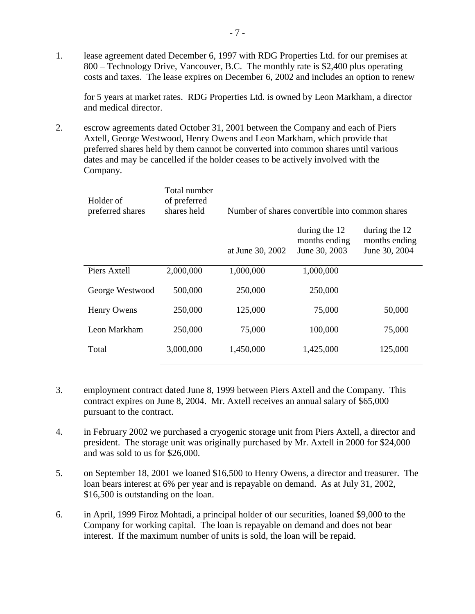1. lease agreement dated December 6, 1997 with RDG Properties Ltd. for our premises at 800 – Technology Drive, Vancouver, B.C. The monthly rate is \$2,400 plus operating costs and taxes. The lease expires on December 6, 2002 and includes an option to renew

for 5 years at market rates. RDG Properties Ltd. is owned by Leon Markham, a director and medical director.

2. escrow agreements dated October 31, 2001 between the Company and each of Piers Axtell, George Westwood, Henry Owens and Leon Markham, which provide that preferred shares held by them cannot be converted into common shares until various dates and may be cancelled if the holder ceases to be actively involved with the Company.

| Holder of<br>preferred shares | Total number<br>of preferred<br>shares held | Number of shares convertible into common shares |                                                 |                                                 |
|-------------------------------|---------------------------------------------|-------------------------------------------------|-------------------------------------------------|-------------------------------------------------|
|                               |                                             | at June 30, 2002                                | during the 12<br>months ending<br>June 30, 2003 | during the 12<br>months ending<br>June 30, 2004 |
| Piers Axtell                  | 2,000,000                                   | 1,000,000                                       | 1,000,000                                       |                                                 |
| George Westwood               | 500,000                                     | 250,000                                         | 250,000                                         |                                                 |
| Henry Owens                   | 250,000                                     | 125,000                                         | 75,000                                          | 50,000                                          |
| Leon Markham                  | 250,000                                     | 75,000                                          | 100,000                                         | 75,000                                          |
| Total                         | 3,000,000                                   | 1,450,000                                       | 1,425,000                                       | 125,000                                         |

- 3. employment contract dated June 8, 1999 between Piers Axtell and the Company. This contract expires on June 8, 2004. Mr. Axtell receives an annual salary of \$65,000 pursuant to the contract.
- 4. in February 2002 we purchased a cryogenic storage unit from Piers Axtell, a director and president. The storage unit was originally purchased by Mr. Axtell in 2000 for \$24,000 and was sold to us for \$26,000.
- 5. on September 18, 2001 we loaned \$16,500 to Henry Owens, a director and treasurer. The loan bears interest at 6% per year and is repayable on demand. As at July 31, 2002, \$16,500 is outstanding on the loan.
- 6. in April, 1999 Firoz Mohtadi, a principal holder of our securities, loaned \$9,000 to the Company for working capital. The loan is repayable on demand and does not bear interest. If the maximum number of units is sold, the loan will be repaid.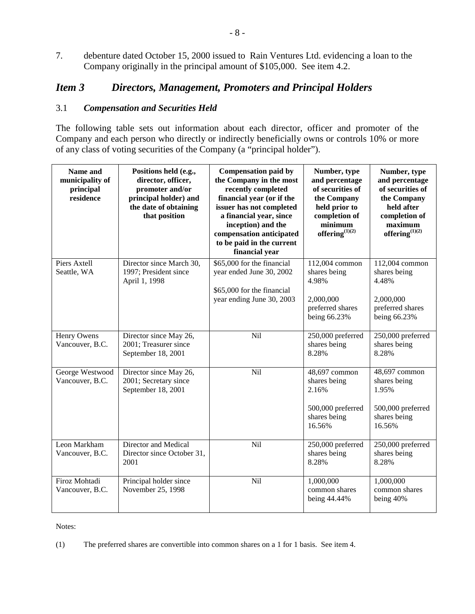7. debenture dated October 15, 2000 issued to Rain Ventures Ltd. evidencing a loan to the Company originally in the principal amount of \$105,000. See item 4.2.

# *Item 3 Directors, Management, Promoters and Principal Holders*

### 3.1 *Compensation and Securities Held*

The following table sets out information about each director, officer and promoter of the Company and each person who directly or indirectly beneficially owns or controls 10% or more of any class of voting securities of the Company (a "principal holder").

| Name and<br>municipality of<br>principal<br>residence | Positions held (e.g.,<br>director, officer,<br>promoter and/or<br>principal holder) and<br>the date of obtaining<br>that position | <b>Compensation paid by</b><br>the Company in the most<br>recently completed<br>financial year (or if the<br>issuer has not completed<br>a financial year, since<br>inception) and the<br>compensation anticipated<br>to be paid in the current<br>financial year | Number, type<br>and percentage<br>of securities of<br>the Company<br>held prior to<br>completion of<br>minimum<br>offering $^{(1)(2)}$ | Number, type<br>and percentage<br>of securities of<br>the Company<br>held after<br>completion of<br>maximum<br>offering $^{(1)(2)}$ |
|-------------------------------------------------------|-----------------------------------------------------------------------------------------------------------------------------------|-------------------------------------------------------------------------------------------------------------------------------------------------------------------------------------------------------------------------------------------------------------------|----------------------------------------------------------------------------------------------------------------------------------------|-------------------------------------------------------------------------------------------------------------------------------------|
| Piers Axtell<br>Seattle, WA                           | Director since March 30,<br>1997; President since<br>April 1, 1998                                                                | \$65,000 for the financial<br>year ended June 30, 2002<br>\$65,000 for the financial<br>year ending June 30, 2003                                                                                                                                                 | 112,004 common<br>shares being<br>4.98%<br>2,000,000<br>preferred shares<br>being 66.23%                                               | 112,004 common<br>shares being<br>4.48%<br>2,000,000<br>preferred shares<br>being 66.23%                                            |
| Henry Owens<br>Vancouver, B.C.                        | Director since May 26,<br>2001; Treasurer since<br>September 18, 2001                                                             | Nil                                                                                                                                                                                                                                                               | 250,000 preferred<br>shares being<br>8.28%                                                                                             | 250,000 preferred<br>shares being<br>8.28%                                                                                          |
| George Westwood<br>Vancouver, B.C.                    | Director since May 26,<br>2001; Secretary since<br>September 18, 2001                                                             | Nil                                                                                                                                                                                                                                                               | 48,697 common<br>shares being<br>2.16%<br>500,000 preferred<br>shares being<br>16.56%                                                  | 48,697 common<br>shares being<br>1.95%<br>500,000 preferred<br>shares being<br>16.56%                                               |
| Leon Markham<br>Vancouver, B.C.                       | Director and Medical<br>Director since October 31,<br>2001                                                                        | Nil                                                                                                                                                                                                                                                               | 250,000 preferred<br>shares being<br>8.28%                                                                                             | 250,000 preferred<br>shares being<br>8.28%                                                                                          |
| Firoz Mohtadi<br>Vancouver, B.C.                      | Principal holder since<br>November 25, 1998                                                                                       | Nil                                                                                                                                                                                                                                                               | 1,000,000<br>common shares<br>being 44.44%                                                                                             | 1,000,000<br>common shares<br>being 40%                                                                                             |

Notes:

(1) The preferred shares are convertible into common shares on a 1 for 1 basis. See item 4.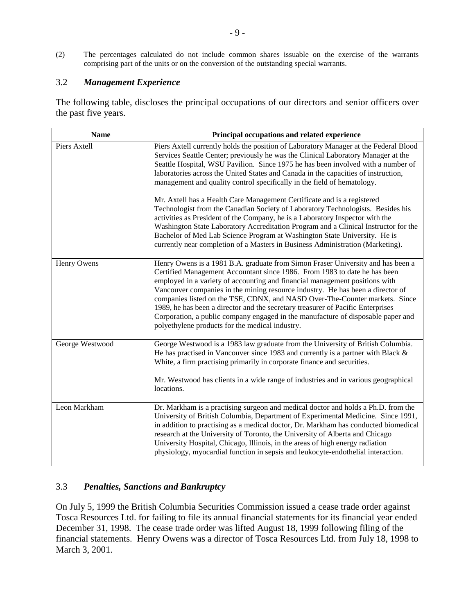(2) The percentages calculated do not include common shares issuable on the exercise of the warrants comprising part of the units or on the conversion of the outstanding special warrants.

#### 3.2 *Management Experience*

The following table, discloses the principal occupations of our directors and senior officers over the past five years.

| <b>Name</b>     | Principal occupations and related experience                                                                                                                                                                                                                                                                                                                                                                                                                                                                                                                                                                                           |
|-----------------|----------------------------------------------------------------------------------------------------------------------------------------------------------------------------------------------------------------------------------------------------------------------------------------------------------------------------------------------------------------------------------------------------------------------------------------------------------------------------------------------------------------------------------------------------------------------------------------------------------------------------------------|
| Piers Axtell    | Piers Axtell currently holds the position of Laboratory Manager at the Federal Blood<br>Services Seattle Center; previously he was the Clinical Laboratory Manager at the<br>Seattle Hospital, WSU Pavilion. Since 1975 he has been involved with a number of<br>laboratories across the United States and Canada in the capacities of instruction,<br>management and quality control specifically in the field of hematology.                                                                                                                                                                                                         |
|                 | Mr. Axtell has a Health Care Management Certificate and is a registered<br>Technologist from the Canadian Society of Laboratory Technologists. Besides his<br>activities as President of the Company, he is a Laboratory Inspector with the<br>Washington State Laboratory Accreditation Program and a Clinical Instructor for the<br>Bachelor of Med Lab Science Program at Washington State University. He is<br>currently near completion of a Masters in Business Administration (Marketing).                                                                                                                                      |
| Henry Owens     | Henry Owens is a 1981 B.A. graduate from Simon Fraser University and has been a<br>Certified Management Accountant since 1986. From 1983 to date he has been<br>employed in a variety of accounting and financial management positions with<br>Vancouver companies in the mining resource industry. He has been a director of<br>companies listed on the TSE, CDNX, and NASD Over-The-Counter markets. Since<br>1989, he has been a director and the secretary treasurer of Pacific Enterprises<br>Corporation, a public company engaged in the manufacture of disposable paper and<br>polyethylene products for the medical industry. |
| George Westwood | George Westwood is a 1983 law graduate from the University of British Columbia.<br>He has practised in Vancouver since 1983 and currently is a partner with Black $\&$<br>White, a firm practising primarily in corporate finance and securities.<br>Mr. Westwood has clients in a wide range of industries and in various geographical<br>locations.                                                                                                                                                                                                                                                                                  |
| Leon Markham    | Dr. Markham is a practising surgeon and medical doctor and holds a Ph.D. from the<br>University of British Columbia, Department of Experimental Medicine. Since 1991,<br>in addition to practising as a medical doctor, Dr. Markham has conducted biomedical<br>research at the University of Toronto, the University of Alberta and Chicago<br>University Hospital, Chicago, Illinois, in the areas of high energy radiation<br>physiology, myocardial function in sepsis and leukocyte-endothelial interaction.                                                                                                                      |

## 3.3 *Penalties, Sanctions and Bankruptcy*

On July 5, 1999 the British Columbia Securities Commission issued a cease trade order against Tosca Resources Ltd. for failing to file its annual financial statements for its financial year ended December 31, 1998. The cease trade order was lifted August 18, 1999 following filing of the financial statements. Henry Owens was a director of Tosca Resources Ltd. from July 18, 1998 to March 3, 2001.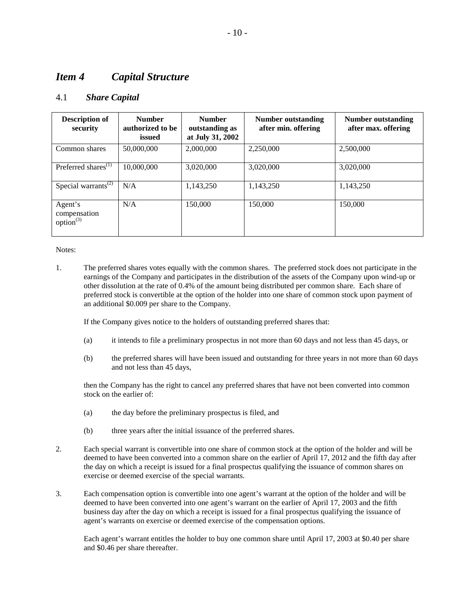# *Item 4 Capital Structure*

#### 4.1 *Share Capital*

| <b>Description of</b><br>security                | <b>Number</b><br>authorized to be<br>issued | <b>Number</b><br>outstanding as<br>at July 31, 2002 | Number outstanding<br>after min. offering | Number outstanding<br>after max. offering |
|--------------------------------------------------|---------------------------------------------|-----------------------------------------------------|-------------------------------------------|-------------------------------------------|
| Common shares                                    | 50,000,000                                  | 2,000,000                                           | 2,250,000                                 | 2,500,000                                 |
| Preferred shares <sup>(1)</sup>                  | 10,000,000                                  | 3,020,000                                           | 3,020,000                                 | 3,020,000                                 |
| Special warrants <sup><math>(2)</math></sup>     | N/A                                         | 1.143.250                                           | 1.143.250                                 | 1.143.250                                 |
| Agent's<br>compensation<br>option <sup>(3)</sup> | N/A                                         | 150,000                                             | 150,000                                   | 150,000                                   |

Notes:

1. The preferred shares votes equally with the common shares. The preferred stock does not participate in the earnings of the Company and participates in the distribution of the assets of the Company upon wind-up or other dissolution at the rate of 0.4% of the amount being distributed per common share. Each share of preferred stock is convertible at the option of the holder into one share of common stock upon payment of an additional \$0.009 per share to the Company.

If the Company gives notice to the holders of outstanding preferred shares that:

- (a) it intends to file a preliminary prospectus in not more than 60 days and not less than 45 days, or
- (b) the preferred shares will have been issued and outstanding for three years in not more than 60 days and not less than 45 days,

then the Company has the right to cancel any preferred shares that have not been converted into common stock on the earlier of:

- (a) the day before the preliminary prospectus is filed, and
- (b) three years after the initial issuance of the preferred shares.
- 2. Each special warrant is convertible into one share of common stock at the option of the holder and will be deemed to have been converted into a common share on the earlier of April 17, 2012 and the fifth day after the day on which a receipt is issued for a final prospectus qualifying the issuance of common shares on exercise or deemed exercise of the special warrants.
- 3. Each compensation option is convertible into one agent's warrant at the option of the holder and will be deemed to have been converted into one agent's warrant on the earlier of April 17, 2003 and the fifth business day after the day on which a receipt is issued for a final prospectus qualifying the issuance of agent's warrants on exercise or deemed exercise of the compensation options.

Each agent's warrant entitles the holder to buy one common share until April 17, 2003 at \$0.40 per share and \$0.46 per share thereafter.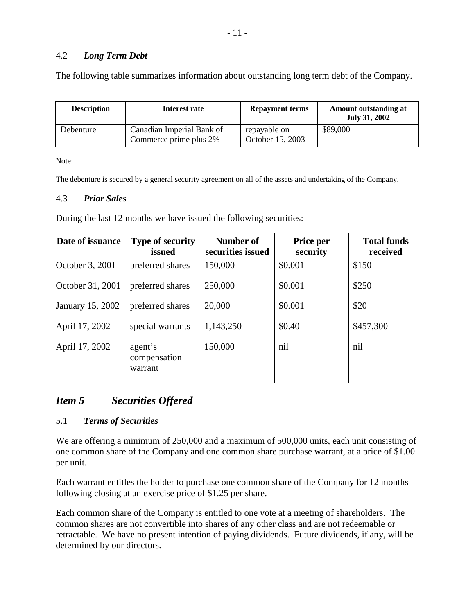### 4.2 *Long Term Debt*

The following table summarizes information about outstanding long term debt of the Company.

| <b>Description</b> | Interest rate                                       | <b>Repayment terms</b>           | Amount outstanding at<br><b>July 31, 2002</b> |
|--------------------|-----------------------------------------------------|----------------------------------|-----------------------------------------------|
| Debenture          | Canadian Imperial Bank of<br>Commerce prime plus 2% | repayable on<br>October 15, 2003 | \$89,000                                      |

Note:

The debenture is secured by a general security agreement on all of the assets and undertaking of the Company.

#### 4.3 *Prior Sales*

During the last 12 months we have issued the following securities:

| Date of issuance | <b>Type of security</b><br>issued  | Number of<br>securities issued | Price per<br>security | <b>Total funds</b><br>received |
|------------------|------------------------------------|--------------------------------|-----------------------|--------------------------------|
| October 3, 2001  | preferred shares                   | 150,000                        | \$0.001               | \$150                          |
| October 31, 2001 | preferred shares                   | 250,000                        | \$0.001               | \$250                          |
| January 15, 2002 | preferred shares                   | 20,000                         | \$0.001               | \$20                           |
| April 17, 2002   | special warrants                   | 1,143,250                      | \$0.40                | \$457,300                      |
| April 17, 2002   | agent's<br>compensation<br>warrant | 150,000                        | nil                   | nil                            |

## *Item 5 Securities Offered*

#### 5.1 *Terms of Securities*

We are offering a minimum of 250,000 and a maximum of 500,000 units, each unit consisting of one common share of the Company and one common share purchase warrant, at a price of \$1.00 per unit.

Each warrant entitles the holder to purchase one common share of the Company for 12 months following closing at an exercise price of \$1.25 per share.

Each common share of the Company is entitled to one vote at a meeting of shareholders. The common shares are not convertible into shares of any other class and are not redeemable or retractable. We have no present intention of paying dividends. Future dividends, if any, will be determined by our directors.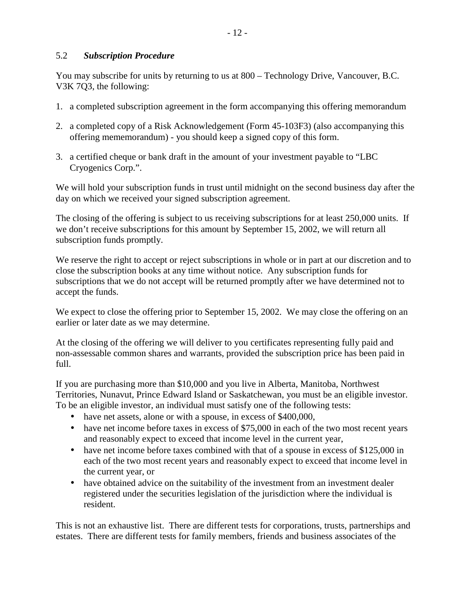#### 5.2 *Subscription Procedure*

You may subscribe for units by returning to us at 800 – Technology Drive, Vancouver, B.C. V3K 7Q3, the following:

- 1. a completed subscription agreement in the form accompanying this offering memorandum
- 2. a completed copy of a Risk Acknowledgement (Form 45-103F3) (also accompanying this offering mememorandum) - you should keep a signed copy of this form.
- 3. a certified cheque or bank draft in the amount of your investment payable to "LBC Cryogenics Corp.".

We will hold your subscription funds in trust until midnight on the second business day after the day on which we received your signed subscription agreement.

The closing of the offering is subject to us receiving subscriptions for at least 250,000 units. If we don't receive subscriptions for this amount by September 15, 2002, we will return all subscription funds promptly.

We reserve the right to accept or reject subscriptions in whole or in part at our discretion and to close the subscription books at any time without notice. Any subscription funds for subscriptions that we do not accept will be returned promptly after we have determined not to accept the funds.

We expect to close the offering prior to September 15, 2002. We may close the offering on an earlier or later date as we may determine.

At the closing of the offering we will deliver to you certificates representing fully paid and non-assessable common shares and warrants, provided the subscription price has been paid in full.

If you are purchasing more than \$10,000 and you live in Alberta, Manitoba, Northwest Territories, Nunavut, Prince Edward Island or Saskatchewan, you must be an eligible investor. To be an eligible investor, an individual must satisfy one of the following tests:

- have net assets, alone or with a spouse, in excess of \$400,000,
- have net income before taxes in excess of \$75,000 in each of the two most recent years and reasonably expect to exceed that income level in the current year,
- have net income before taxes combined with that of a spouse in excess of \$125,000 in each of the two most recent years and reasonably expect to exceed that income level in the current year, or
- have obtained advice on the suitability of the investment from an investment dealer registered under the securities legislation of the jurisdiction where the individual is resident.

This is not an exhaustive list. There are different tests for corporations, trusts, partnerships and estates. There are different tests for family members, friends and business associates of the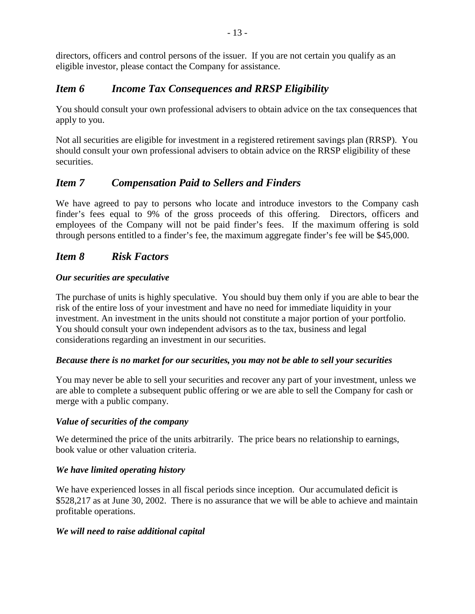directors, officers and control persons of the issuer. If you are not certain you qualify as an eligible investor, please contact the Company for assistance.

# *Item 6 Income Tax Consequences and RRSP Eligibility*

You should consult your own professional advisers to obtain advice on the tax consequences that apply to you.

Not all securities are eligible for investment in a registered retirement savings plan (RRSP). You should consult your own professional advisers to obtain advice on the RRSP eligibility of these securities.

# *Item 7 Compensation Paid to Sellers and Finders*

We have agreed to pay to persons who locate and introduce investors to the Company cash finder's fees equal to 9% of the gross proceeds of this offering. Directors, officers and employees of the Company will not be paid finder's fees. If the maximum offering is sold through persons entitled to a finder's fee, the maximum aggregate finder's fee will be \$45,000.

# *Item 8 Risk Factors*

## *Our securities are speculative*

The purchase of units is highly speculative. You should buy them only if you are able to bear the risk of the entire loss of your investment and have no need for immediate liquidity in your investment. An investment in the units should not constitute a major portion of your portfolio. You should consult your own independent advisors as to the tax, business and legal considerations regarding an investment in our securities.

## *Because there is no market for our securities, you may not be able to sell your securities*

You may never be able to sell your securities and recover any part of your investment, unless we are able to complete a subsequent public offering or we are able to sell the Company for cash or merge with a public company.

## *Value of securities of the company*

We determined the price of the units arbitrarily. The price bears no relationship to earnings, book value or other valuation criteria.

## *We have limited operating history*

We have experienced losses in all fiscal periods since inception. Our accumulated deficit is \$528,217 as at June 30, 2002. There is no assurance that we will be able to achieve and maintain profitable operations.

## *We will need to raise additional capital*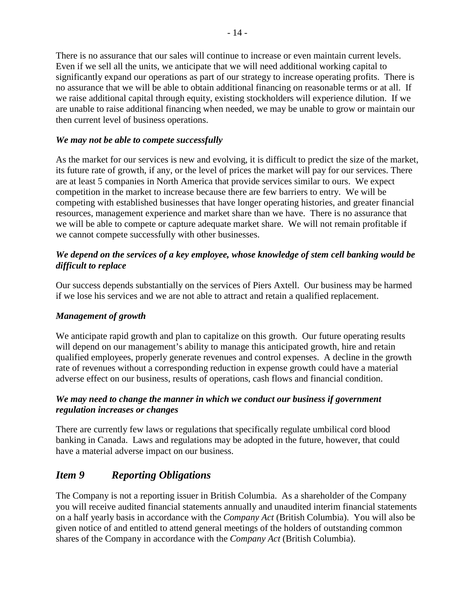There is no assurance that our sales will continue to increase or even maintain current levels. Even if we sell all the units, we anticipate that we will need additional working capital to significantly expand our operations as part of our strategy to increase operating profits. There is no assurance that we will be able to obtain additional financing on reasonable terms or at all. If we raise additional capital through equity, existing stockholders will experience dilution. If we are unable to raise additional financing when needed, we may be unable to grow or maintain our then current level of business operations.

### *We may not be able to compete successfully*

As the market for our services is new and evolving, it is difficult to predict the size of the market, its future rate of growth, if any, or the level of prices the market will pay for our services. There are at least 5 companies in North America that provide services similar to ours. We expect competition in the market to increase because there are few barriers to entry. We will be competing with established businesses that have longer operating histories, and greater financial resources, management experience and market share than we have. There is no assurance that we will be able to compete or capture adequate market share. We will not remain profitable if we cannot compete successfully with other businesses.

### *We depend on the services of a key employee, whose knowledge of stem cell banking would be difficult to replace*

Our success depends substantially on the services of Piers Axtell. Our business may be harmed if we lose his services and we are not able to attract and retain a qualified replacement.

## *Management of growth*

We anticipate rapid growth and plan to capitalize on this growth. Our future operating results will depend on our management's ability to manage this anticipated growth, hire and retain qualified employees, properly generate revenues and control expenses. A decline in the growth rate of revenues without a corresponding reduction in expense growth could have a material adverse effect on our business, results of operations, cash flows and financial condition.

#### *We may need to change the manner in which we conduct our business if government regulation increases or changes*

There are currently few laws or regulations that specifically regulate umbilical cord blood banking in Canada. Laws and regulations may be adopted in the future, however, that could have a material adverse impact on our business.

## *Item 9 Reporting Obligations*

The Company is not a reporting issuer in British Columbia. As a shareholder of the Company you will receive audited financial statements annually and unaudited interim financial statements on a half yearly basis in accordance with the *Company Act* (British Columbia). You will also be given notice of and entitled to attend general meetings of the holders of outstanding common shares of the Company in accordance with the *Company Act* (British Columbia).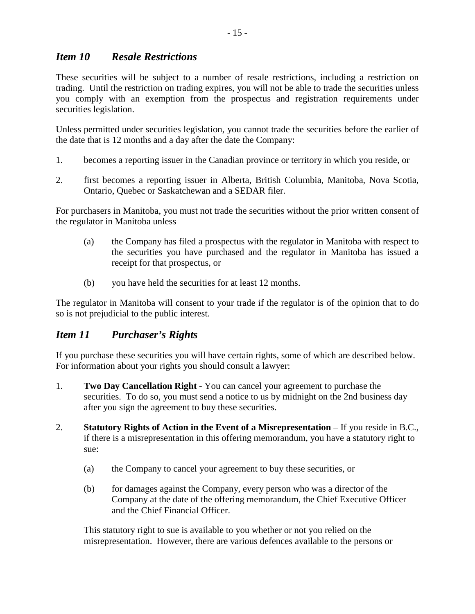# *Item 10 Resale Restrictions*

These securities will be subject to a number of resale restrictions, including a restriction on trading. Until the restriction on trading expires, you will not be able to trade the securities unless you comply with an exemption from the prospectus and registration requirements under securities legislation.

Unless permitted under securities legislation, you cannot trade the securities before the earlier of the date that is 12 months and a day after the date the Company:

- 1. becomes a reporting issuer in the Canadian province or territory in which you reside, or
- 2. first becomes a reporting issuer in Alberta, British Columbia, Manitoba, Nova Scotia, Ontario, Quebec or Saskatchewan and a SEDAR filer.

For purchasers in Manitoba, you must not trade the securities without the prior written consent of the regulator in Manitoba unless

- (a) the Company has filed a prospectus with the regulator in Manitoba with respect to the securities you have purchased and the regulator in Manitoba has issued a receipt for that prospectus, or
- (b) you have held the securities for at least 12 months.

The regulator in Manitoba will consent to your trade if the regulator is of the opinion that to do so is not prejudicial to the public interest.

# *Item 11 Purchaser's Rights*

If you purchase these securities you will have certain rights, some of which are described below. For information about your rights you should consult a lawyer:

- 1. **Two Day Cancellation Right** You can cancel your agreement to purchase the securities. To do so, you must send a notice to us by midnight on the 2nd business day after you sign the agreement to buy these securities.
- 2. **Statutory Rights of Action in the Event of a Misrepresentation** If you reside in B.C., if there is a misrepresentation in this offering memorandum, you have a statutory right to sue:
	- (a) the Company to cancel your agreement to buy these securities, or
	- (b) for damages against the Company, every person who was a director of the Company at the date of the offering memorandum, the Chief Executive Officer and the Chief Financial Officer.

This statutory right to sue is available to you whether or not you relied on the misrepresentation. However, there are various defences available to the persons or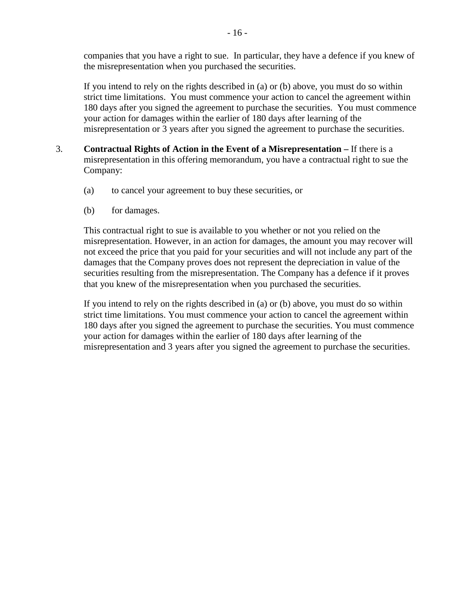companies that you have a right to sue. In particular, they have a defence if you knew of the misrepresentation when you purchased the securities.

If you intend to rely on the rights described in (a) or (b) above, you must do so within strict time limitations. You must commence your action to cancel the agreement within 180 days after you signed the agreement to purchase the securities. You must commence your action for damages within the earlier of 180 days after learning of the misrepresentation or 3 years after you signed the agreement to purchase the securities.

- 3. **Contractual Rights of Action in the Event of a Misrepresentation** If there is a misrepresentation in this offering memorandum, you have a contractual right to sue the Company:
	- (a) to cancel your agreement to buy these securities, or
	- (b) for damages.

 This contractual right to sue is available to you whether or not you relied on the misrepresentation. However, in an action for damages, the amount you may recover will not exceed the price that you paid for your securities and will not include any part of the damages that the Company proves does not represent the depreciation in value of the securities resulting from the misrepresentation. The Company has a defence if it proves that you knew of the misrepresentation when you purchased the securities.

 If you intend to rely on the rights described in (a) or (b) above, you must do so within strict time limitations. You must commence your action to cancel the agreement within 180 days after you signed the agreement to purchase the securities. You must commence your action for damages within the earlier of 180 days after learning of the misrepresentation and 3 years after you signed the agreement to purchase the securities.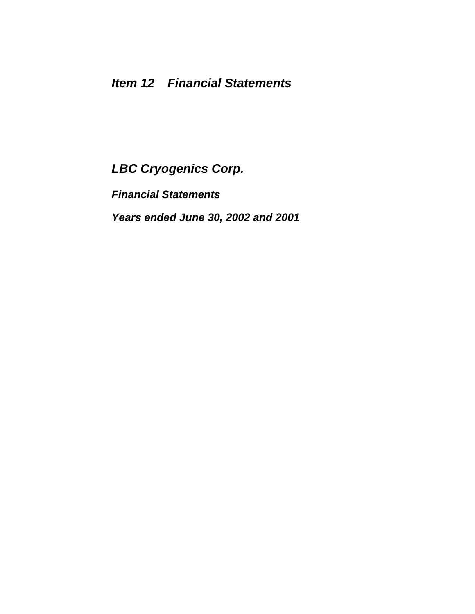*Financial Statements* 

*Years ended June 30, 2002 and 2001*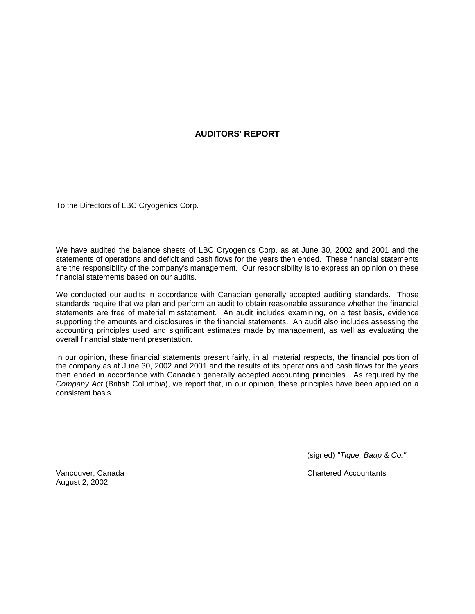#### **AUDITORS' REPORT**

To the Directors of LBC Cryogenics Corp.

We have audited the balance sheets of LBC Cryogenics Corp. as at June 30, 2002 and 2001 and the statements of operations and deficit and cash flows for the years then ended. These financial statements are the responsibility of the company's management. Our responsibility is to express an opinion on these financial statements based on our audits.

We conducted our audits in accordance with Canadian generally accepted auditing standards. Those standards require that we plan and perform an audit to obtain reasonable assurance whether the financial statements are free of material misstatement. An audit includes examining, on a test basis, evidence supporting the amounts and disclosures in the financial statements. An audit also includes assessing the accounting principles used and significant estimates made by management, as well as evaluating the overall financial statement presentation.

In our opinion, these financial statements present fairly, in all material respects, the financial position of the company as at June 30, 2002 and 2001 and the results of its operations and cash flows for the years then ended in accordance with Canadian generally accepted accounting principles. As required by the *Company Act* (British Columbia), we report that, in our opinion, these principles have been applied on a consistent basis.

(signed) *"Tique, Baup & Co."* 

Vancouver, Canada Chartered Accountants

August 2, 2002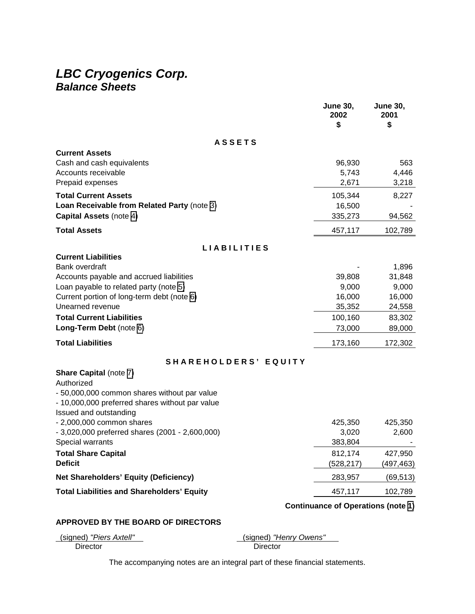# *LBC Cryogenics Corp. Balance Sheets*

|                                                                                      | <b>June 30,</b><br>2002<br>\$             | <b>June 30,</b><br>2001<br>\$ |
|--------------------------------------------------------------------------------------|-------------------------------------------|-------------------------------|
| <b>ASSETS</b>                                                                        |                                           |                               |
| <b>Current Assets</b>                                                                |                                           |                               |
| Cash and cash equivalents<br>Accounts receivable                                     | 96,930                                    | 563                           |
| Prepaid expenses                                                                     | 5,743<br>2,671                            | 4,446<br>3,218                |
| <b>Total Current Assets</b>                                                          | 105,344                                   | 8,227                         |
| Loan Receivable from Related Party (note 3)                                          | 16,500                                    |                               |
| <b>Capital Assets (note 4)</b>                                                       | 335,273                                   | 94,562                        |
| <b>Total Assets</b>                                                                  | 457,117                                   | 102,789                       |
| <b>LIABILITIES</b>                                                                   |                                           |                               |
| <b>Current Liabilities</b>                                                           |                                           |                               |
| <b>Bank overdraft</b>                                                                |                                           | 1,896                         |
| Accounts payable and accrued liabilities                                             | 39,808                                    | 31,848                        |
| Loan payable to related party (note 5)<br>Current portion of long-term debt (note 6) | 9,000<br>16,000                           | 9,000<br>16,000               |
| Unearned revenue                                                                     | 35,352                                    | 24,558                        |
| <b>Total Current Liabilities</b>                                                     | 100,160                                   | 83,302                        |
| Long-Term Debt (note 6)                                                              | 73,000                                    | 89,000                        |
| <b>Total Liabilities</b>                                                             | 173,160                                   | 172,302                       |
| SHAREHOLDERS' EQUITY                                                                 |                                           |                               |
| <b>Share Capital (note 7)</b>                                                        |                                           |                               |
| Authorized                                                                           |                                           |                               |
| - 50,000,000 common shares without par value                                         |                                           |                               |
| - 10,000,000 preferred shares without par value                                      |                                           |                               |
| Issued and outstanding<br>$-2,000,000$ common shares                                 | 425,350                                   | 425,350                       |
| - 3,020,000 preferred shares (2001 - 2,600,000)                                      | 3,020                                     | 2,600                         |
| Special warrants                                                                     | 383,804                                   |                               |
| <b>Total Share Capital</b>                                                           | 812,174                                   | 427,950                       |
| <b>Deficit</b>                                                                       | (528, 217)                                | (497,463)                     |
| <b>Net Shareholders' Equity (Deficiency)</b>                                         | 283,957                                   | (69, 513)                     |
| <b>Total Liabilities and Shareholders' Equity</b>                                    | 457,117                                   | 102,789                       |
|                                                                                      | <b>Continuance of Operations (note 1)</b> |                               |

#### **APPROVED BY THE BOARD OF DIRECTORS**

| (signed) "Piers Axtell" |  |
|-------------------------|--|
| Director                |  |

(signed) *"Henry Owens"* 

Director

The accompanying notes are an integral part of these financial statements.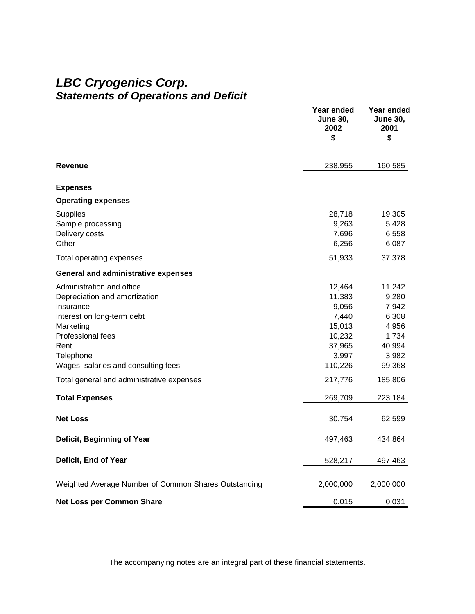# *LBC Cryogenics Corp. Statements of Operations and Deficit*

|                                                                                                                                                                                                                                                                           | Year ended<br><b>June 30,</b><br>2002<br>\$                                                                | Year ended<br><b>June 30,</b><br>2001<br>\$                                                            |
|---------------------------------------------------------------------------------------------------------------------------------------------------------------------------------------------------------------------------------------------------------------------------|------------------------------------------------------------------------------------------------------------|--------------------------------------------------------------------------------------------------------|
| <b>Revenue</b>                                                                                                                                                                                                                                                            | 238,955                                                                                                    | 160,585                                                                                                |
| <b>Expenses</b>                                                                                                                                                                                                                                                           |                                                                                                            |                                                                                                        |
| <b>Operating expenses</b>                                                                                                                                                                                                                                                 |                                                                                                            |                                                                                                        |
| <b>Supplies</b><br>Sample processing<br>Delivery costs<br>Other                                                                                                                                                                                                           | 28,718<br>9,263<br>7,696<br>6,256                                                                          | 19,305<br>5,428<br>6,558<br>6,087                                                                      |
| Total operating expenses                                                                                                                                                                                                                                                  | 51,933                                                                                                     | 37,378                                                                                                 |
| <b>General and administrative expenses</b>                                                                                                                                                                                                                                |                                                                                                            |                                                                                                        |
| Administration and office<br>Depreciation and amortization<br>Insurance<br>Interest on long-term debt<br>Marketing<br>Professional fees<br>Rent<br>Telephone<br>Wages, salaries and consulting fees<br>Total general and administrative expenses<br><b>Total Expenses</b> | 12,464<br>11,383<br>9,056<br>7,440<br>15,013<br>10,232<br>37,965<br>3,997<br>110,226<br>217,776<br>269,709 | 11,242<br>9,280<br>7,942<br>6,308<br>4,956<br>1,734<br>40,994<br>3,982<br>99,368<br>185,806<br>223,184 |
| <b>Net Loss</b>                                                                                                                                                                                                                                                           | 30,754                                                                                                     | 62,599                                                                                                 |
| Deficit, Beginning of Year                                                                                                                                                                                                                                                | 497,463                                                                                                    | 434,864                                                                                                |
| Deficit, End of Year                                                                                                                                                                                                                                                      | 528,217                                                                                                    | 497,463                                                                                                |
| Weighted Average Number of Common Shares Outstanding                                                                                                                                                                                                                      | 2,000,000                                                                                                  | 2,000,000                                                                                              |
| <b>Net Loss per Common Share</b>                                                                                                                                                                                                                                          | 0.015                                                                                                      | 0.031                                                                                                  |

The accompanying notes are an integral part of these financial statements.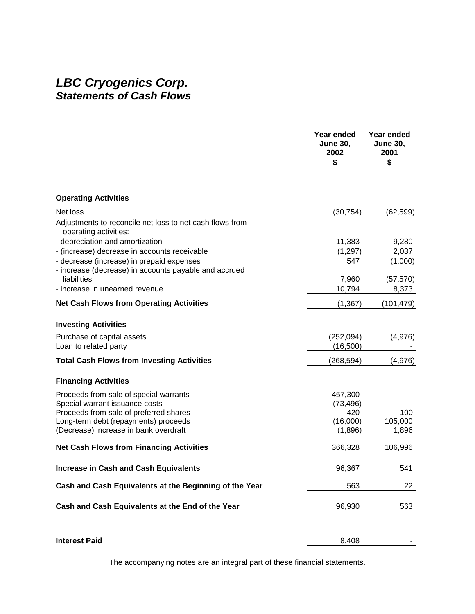# *LBC Cryogenics Corp. Statements of Cash Flows*

|                                                                                                    | Year ended<br><b>June 30,</b><br>2002<br>\$ | Year ended<br><b>June 30,</b><br>2001<br>\$ |
|----------------------------------------------------------------------------------------------------|---------------------------------------------|---------------------------------------------|
| <b>Operating Activities</b>                                                                        |                                             |                                             |
| Net loss                                                                                           | (30, 754)                                   | (62, 599)                                   |
| Adjustments to reconcile net loss to net cash flows from<br>operating activities:                  |                                             |                                             |
| - depreciation and amortization                                                                    | 11,383                                      | 9,280                                       |
| - (increase) decrease in accounts receivable                                                       | (1,297)                                     | 2,037                                       |
| - decrease (increase) in prepaid expenses<br>- increase (decrease) in accounts payable and accrued | 547                                         | (1,000)                                     |
| liabilities                                                                                        | 7,960                                       | (57, 570)                                   |
| - increase in unearned revenue                                                                     | 10,794                                      | 8,373                                       |
| <b>Net Cash Flows from Operating Activities</b>                                                    | (1, 367)                                    | (101, 479)                                  |
| <b>Investing Activities</b>                                                                        |                                             |                                             |
| Purchase of capital assets                                                                         | (252,094)                                   | (4,976)                                     |
| Loan to related party                                                                              | (16, 500)                                   |                                             |
| <b>Total Cash Flows from Investing Activities</b>                                                  | (268, 594)                                  | (4,976)                                     |
| <b>Financing Activities</b>                                                                        |                                             |                                             |
| Proceeds from sale of special warrants                                                             | 457,300                                     |                                             |
| Special warrant issuance costs                                                                     | (73, 496)                                   |                                             |
| Proceeds from sale of preferred shares                                                             | 420                                         | 100                                         |
| Long-term debt (repayments) proceeds                                                               | (16,000)                                    | 105,000                                     |
| (Decrease) increase in bank overdraft                                                              | (1,896)                                     | 1,896                                       |
| <b>Net Cash Flows from Financing Activities</b>                                                    | 366,328                                     | 106,996                                     |
| <b>Increase in Cash and Cash Equivalents</b>                                                       | 96,367                                      | 541                                         |
| Cash and Cash Equivalents at the Beginning of the Year                                             | 563                                         | 22                                          |
| Cash and Cash Equivalents at the End of the Year                                                   | 96,930                                      | 563                                         |
|                                                                                                    |                                             |                                             |
| <b>Interest Paid</b>                                                                               | 8,408                                       |                                             |

The accompanying notes are an integral part of these financial statements.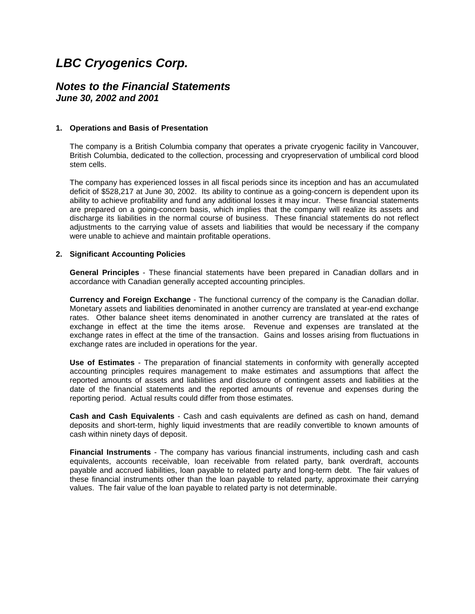### <span id="page-21-0"></span>*Notes to the Financial Statements June 30, 2002 and 2001*

#### **1. Operations and Basis of Presentation**

The company is a British Columbia company that operates a private cryogenic facility in Vancouver, British Columbia, dedicated to the collection, processing and cryopreservation of umbilical cord blood stem cells.

The company has experienced losses in all fiscal periods since its inception and has an accumulated deficit of \$528,217 at June 30, 2002. Its ability to continue as a going-concern is dependent upon its ability to achieve profitability and fund any additional losses it may incur. These financial statements are prepared on a going-concern basis, which implies that the company will realize its assets and discharge its liabilities in the normal course of business. These financial statements do not reflect adjustments to the carrying value of assets and liabilities that would be necessary if the company were unable to achieve and maintain profitable operations.

#### **2. Significant Accounting Policies**

**General Principles** - These financial statements have been prepared in Canadian dollars and in accordance with Canadian generally accepted accounting principles.

**Currency and Foreign Exchange** - The functional currency of the company is the Canadian dollar. Monetary assets and liabilities denominated in another currency are translated at year-end exchange rates. Other balance sheet items denominated in another currency are translated at the rates of exchange in effect at the time the items arose. Revenue and expenses are translated at the exchange rates in effect at the time of the transaction. Gains and losses arising from fluctuations in exchange rates are included in operations for the year.

**Use of Estimates** - The preparation of financial statements in conformity with generally accepted accounting principles requires management to make estimates and assumptions that affect the reported amounts of assets and liabilities and disclosure of contingent assets and liabilities at the date of the financial statements and the reported amounts of revenue and expenses during the reporting period. Actual results could differ from those estimates.

**Cash and Cash Equivalents** - Cash and cash equivalents are defined as cash on hand, demand deposits and short-term, highly liquid investments that are readily convertible to known amounts of cash within ninety days of deposit.

**Financial Instruments** - The company has various financial instruments, including cash and cash equivalents, accounts receivable, loan receivable from related party, bank overdraft, accounts payable and accrued liabilities, loan payable to related party and long-term debt. The fair values of these financial instruments other than the loan payable to related party, approximate their carrying values. The fair value of the loan payable to related party is not determinable.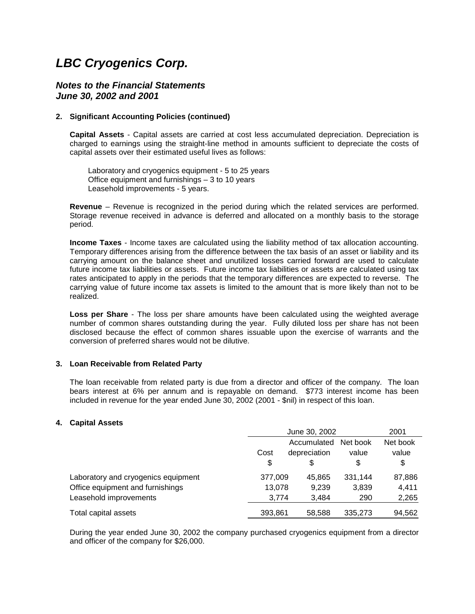#### <span id="page-22-0"></span>*Notes to the Financial Statements June 30, 2002 and 2001*

#### **2. Significant Accounting Policies (continued)**

**Capital Assets** - Capital assets are carried at cost less accumulated depreciation. Depreciation is charged to earnings using the straight-line method in amounts sufficient to depreciate the costs of capital assets over their estimated useful lives as follows:

 Laboratory and cryogenics equipment - 5 to 25 years Office equipment and furnishings – 3 to 10 years Leasehold improvements - 5 years.

**Revenue** – Revenue is recognized in the period during which the related services are performed. Storage revenue received in advance is deferred and allocated on a monthly basis to the storage period.

**Income Taxes** - Income taxes are calculated using the liability method of tax allocation accounting. Temporary differences arising from the difference between the tax basis of an asset or liability and its carrying amount on the balance sheet and unutilized losses carried forward are used to calculate future income tax liabilities or assets. Future income tax liabilities or assets are calculated using tax rates anticipated to apply in the periods that the temporary differences are expected to reverse. The carrying value of future income tax assets is limited to the amount that is more likely than not to be realized.

**Loss per Share** - The loss per share amounts have been calculated using the weighted average number of common shares outstanding during the year. Fully diluted loss per share has not been disclosed because the effect of common shares issuable upon the exercise of warrants and the conversion of preferred shares would not be dilutive.

#### **3. Loan Receivable from Related Party**

The loan receivable from related party is due from a director and officer of the company. The loan bears interest at 6% per annum and is repayable on demand. \$773 interest income has been included in revenue for the year ended June 30, 2002 (2001 - \$nil) in respect of this loan.

#### **4. Capital Assets**

|                                     |         | June 30, 2002 |          | 2001     |
|-------------------------------------|---------|---------------|----------|----------|
|                                     |         | Accumulated   | Net book | Net book |
|                                     | Cost    | depreciation  | value    | value    |
|                                     | \$      | \$            | \$       | \$       |
| Laboratory and cryogenics equipment | 377,009 | 45.865        | 331.144  | 87,886   |
| Office equipment and furnishings    | 13,078  | 9.239         | 3.839    | 4,411    |
| Leasehold improvements              | 3,774   | 3,484         | 290      | 2,265    |
| Total capital assets                | 393,861 | 58.588        | 335.273  | 94,562   |

During the year ended June 30, 2002 the company purchased cryogenics equipment from a director and officer of the company for \$26,000.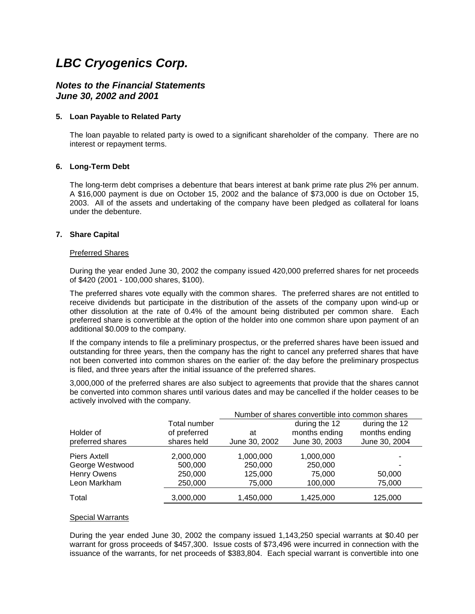#### <span id="page-23-0"></span>*Notes to the Financial Statements June 30, 2002 and 2001*

#### **5. Loan Payable to Related Party**

The loan payable to related party is owed to a significant shareholder of the company. There are no interest or repayment terms.

#### **6. Long-Term Debt**

The long-term debt comprises a debenture that bears interest at bank prime rate plus 2% per annum. A \$16,000 payment is due on October 15, 2002 and the balance of \$73,000 is due on October 15, 2003. All of the assets and undertaking of the company have been pledged as collateral for loans under the debenture.

#### **7. Share Capital**

#### Preferred Shares

During the year ended June 30, 2002 the company issued 420,000 preferred shares for net proceeds of \$420 (2001 - 100,000 shares, \$100).

The preferred shares vote equally with the common shares. The preferred shares are not entitled to receive dividends but participate in the distribution of the assets of the company upon wind-up or other dissolution at the rate of 0.4% of the amount being distributed per common share. Each preferred share is convertible at the option of the holder into one common share upon payment of an additional \$0.009 to the company.

If the company intends to file a preliminary prospectus, or the preferred shares have been issued and outstanding for three years, then the company has the right to cancel any preferred shares that have not been converted into common shares on the earlier of: the day before the preliminary prospectus is filed, and three years after the initial issuance of the preferred shares.

3,000,000 of the preferred shares are also subject to agreements that provide that the shares cannot be converted into common shares until various dates and may be cancelled if the holder ceases to be actively involved with the company.

|                               |                                             | Number of shares convertible into common shares |                                                 |                                                 |
|-------------------------------|---------------------------------------------|-------------------------------------------------|-------------------------------------------------|-------------------------------------------------|
| Holder of<br>preferred shares | Total number<br>of preferred<br>shares held | at<br>June 30, 2002                             | during the 12<br>months ending<br>June 30, 2003 | during the 12<br>months ending<br>June 30, 2004 |
|                               |                                             |                                                 |                                                 |                                                 |
| Piers Axtell                  | 2,000,000                                   | 1,000,000                                       | 1,000,000                                       |                                                 |
| George Westwood               | 500,000                                     | 250,000                                         | 250,000                                         |                                                 |
| Henry Owens                   | 250,000                                     | 125,000                                         | 75,000                                          | 50,000                                          |
| Leon Markham                  | 250,000                                     | 75,000                                          | 100,000                                         | 75,000                                          |
| Total                         | 3,000,000                                   | 1,450,000                                       | 1,425,000                                       | 125,000                                         |

#### Special Warrants

During the year ended June 30, 2002 the company issued 1,143,250 special warrants at \$0.40 per warrant for gross proceeds of \$457,300. Issue costs of \$73,496 were incurred in connection with the issuance of the warrants, for net proceeds of \$383,804. Each special warrant is convertible into one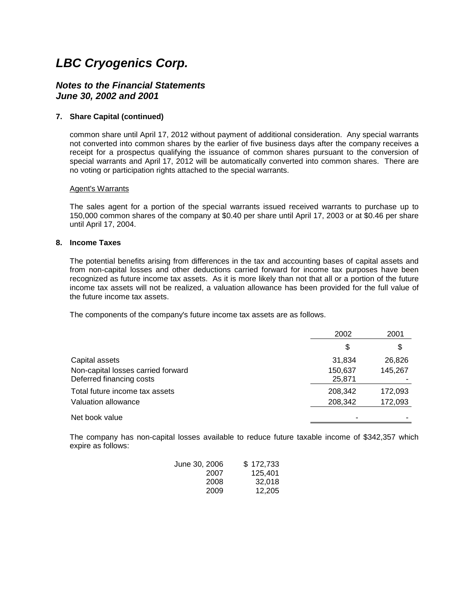#### *Notes to the Financial Statements June 30, 2002 and 2001*

#### **7. Share Capital (continued)**

common share until April 17, 2012 without payment of additional consideration. Any special warrants not converted into common shares by the earlier of five business days after the company receives a receipt for a prospectus qualifying the issuance of common shares pursuant to the conversion of special warrants and April 17, 2012 will be automatically converted into common shares. There are no voting or participation rights attached to the special warrants.

#### Agent's Warrants

The sales agent for a portion of the special warrants issued received warrants to purchase up to 150,000 common shares of the company at \$0.40 per share until April 17, 2003 or at \$0.46 per share until April 17, 2004.

#### **8. Income Taxes**

The potential benefits arising from differences in the tax and accounting bases of capital assets and from non-capital losses and other deductions carried forward for income tax purposes have been recognized as future income tax assets. As it is more likely than not that all or a portion of the future income tax assets will not be realized, a valuation allowance has been provided for the full value of the future income tax assets.

The components of the company's future income tax assets are as follows.

|                                    | 2002    | 2001    |
|------------------------------------|---------|---------|
|                                    | \$      | \$      |
| Capital assets                     | 31,834  | 26,826  |
| Non-capital losses carried forward | 150,637 | 145,267 |
| Deferred financing costs           | 25,871  |         |
| Total future income tax assets     | 208,342 | 172,093 |
| Valuation allowance                | 208,342 | 172,093 |
| Net book value                     |         |         |

The company has non-capital losses available to reduce future taxable income of \$342,357 which expire as follows:

| June 30, 2006 | \$172,733 |
|---------------|-----------|
| 2007          | 125.401   |
| 2008          | 32.018    |
| 2009          | 12,205    |